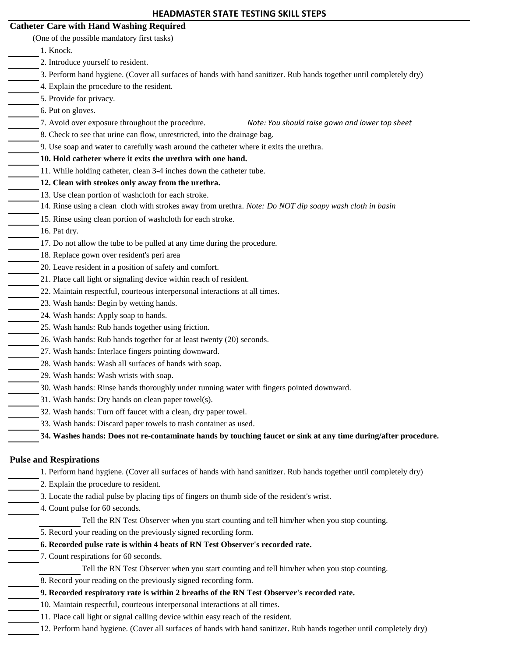| <b>HEADMASTER STATE TESTING SKILL STEPS</b>                                                                          |  |
|----------------------------------------------------------------------------------------------------------------------|--|
| <b>Catheter Care with Hand Washing Required</b>                                                                      |  |
| (One of the possible mandatory first tasks)                                                                          |  |
| 1. Knock.                                                                                                            |  |
| 2. Introduce yourself to resident.                                                                                   |  |
| 3. Perform hand hygiene. (Cover all surfaces of hands with hand sanitizer. Rub hands together until completely dry)  |  |
| 4. Explain the procedure to the resident.                                                                            |  |
| 5. Provide for privacy.                                                                                              |  |
| 6. Put on gloves.                                                                                                    |  |
| 7. Avoid over exposure throughout the procedure.<br>Note: You should raise gown and lower top sheet                  |  |
| 8. Check to see that urine can flow, unrestricted, into the drainage bag.                                            |  |
| 9. Use soap and water to carefully wash around the catheter where it exits the urethra.                              |  |
| 10. Hold catheter where it exits the urethra with one hand.                                                          |  |
| 11. While holding catheter, clean 3-4 inches down the catheter tube.                                                 |  |
| 12. Clean with strokes only away from the urethra.                                                                   |  |
| 13. Use clean portion of washcloth for each stroke.                                                                  |  |
| 14. Rinse using a clean cloth with strokes away from urethra. Note: Do NOT dip soapy wash cloth in basin             |  |
| 15. Rinse using clean portion of washcloth for each stroke.                                                          |  |
| 16. Pat dry.                                                                                                         |  |
| 17. Do not allow the tube to be pulled at any time during the procedure.                                             |  |
| 18. Replace gown over resident's peri area                                                                           |  |
| 20. Leave resident in a position of safety and comfort.                                                              |  |
| 21. Place call light or signaling device within reach of resident.                                                   |  |
| 22. Maintain respectful, courteous interpersonal interactions at all times.                                          |  |
| 23. Wash hands: Begin by wetting hands.                                                                              |  |
| 24. Wash hands: Apply soap to hands.                                                                                 |  |
| 25. Wash hands: Rub hands together using friction.                                                                   |  |
| 26. Wash hands: Rub hands together for at least twenty (20) seconds.                                                 |  |
| 27. Wash hands: Interlace fingers pointing downward.                                                                 |  |
| 28. Wash hands: Wash all surfaces of hands with soap.                                                                |  |
| 29. Wash hands: Wash wrists with soap.                                                                               |  |
| 30. Wash hands: Rinse hands thoroughly under running water with fingers pointed downward.                            |  |
| 31. Wash hands: Dry hands on clean paper towel(s).                                                                   |  |
| 32. Wash hands: Turn off faucet with a clean, dry paper towel.                                                       |  |
| 33. Wash hands: Discard paper towels to trash container as used.                                                     |  |
| 34. Washes hands: Does not re-contaminate hands by touching faucet or sink at any time during/after procedure.       |  |
|                                                                                                                      |  |
| <b>Pulse and Respirations</b>                                                                                        |  |
| 1. Perform hand hygiene. (Cover all surfaces of hands with hand sanitizer. Rub hands together until completely dry)  |  |
| 2. Explain the procedure to resident.                                                                                |  |
| 3. Locate the radial pulse by placing tips of fingers on thumb side of the resident's wrist.                         |  |
| 4. Count pulse for 60 seconds.                                                                                       |  |
| Tell the RN Test Observer when you start counting and tell him/her when you stop counting.                           |  |
| 5. Record your reading on the previously signed recording form.                                                      |  |
| 6. Recorded pulse rate is within 4 beats of RN Test Observer's recorded rate.                                        |  |
| 7. Count respirations for 60 seconds.                                                                                |  |
| Tell the RN Test Observer when you start counting and tell him/her when you stop counting.                           |  |
| 8. Record your reading on the previously signed recording form.                                                      |  |
| 9. Recorded respiratory rate is within 2 breaths of the RN Test Observer's recorded rate.                            |  |
| 10. Maintain respectful, courteous interpersonal interactions at all times.                                          |  |
| 11. Place call light or signal calling device within easy reach of the resident.                                     |  |
| 12. Perform hand hygiene. (Cover all surfaces of hands with hand sanitizer. Rub hands together until completely dry) |  |
|                                                                                                                      |  |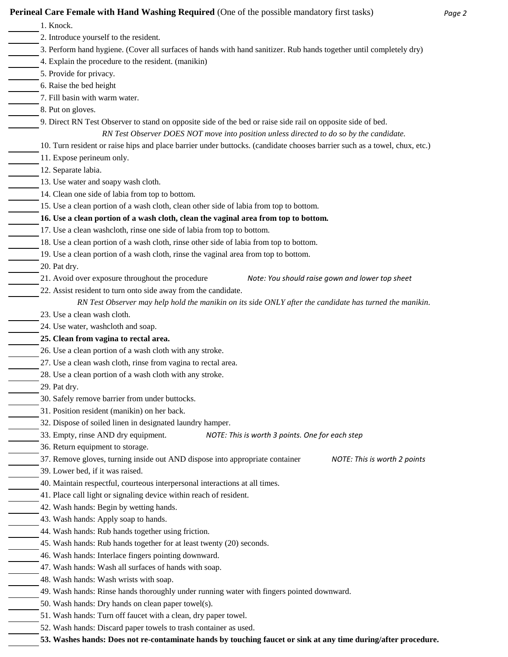| <b>Perineal Care Female with Hand Washing Required (One of the possible mandatory first tasks)</b>                        | Page 2 |
|---------------------------------------------------------------------------------------------------------------------------|--------|
| 1. Knock.                                                                                                                 |        |
| 2. Introduce yourself to the resident.                                                                                    |        |
| 3. Perform hand hygiene. (Cover all surfaces of hands with hand sanitizer. Rub hands together until completely dry)       |        |
| 4. Explain the procedure to the resident. (manikin)                                                                       |        |
| 5. Provide for privacy.                                                                                                   |        |
| 6. Raise the bed height                                                                                                   |        |
| 7. Fill basin with warm water.                                                                                            |        |
| 8. Put on gloves.                                                                                                         |        |
| 9. Direct RN Test Observer to stand on opposite side of the bed or raise side rail on opposite side of bed.               |        |
| RN Test Observer DOES NOT move into position unless directed to do so by the candidate.                                   |        |
| 10. Turn resident or raise hips and place barrier under buttocks. (candidate chooses barrier such as a towel, chux, etc.) |        |
| 11. Expose perineum only.                                                                                                 |        |
| 12. Separate labia.                                                                                                       |        |
| 13. Use water and soapy wash cloth.                                                                                       |        |
| 14. Clean one side of labia from top to bottom.                                                                           |        |
| 15. Use a clean portion of a wash cloth, clean other side of labia from top to bottom.                                    |        |
| 16. Use a clean portion of a wash cloth, clean the vaginal area from top to bottom.                                       |        |
|                                                                                                                           |        |

- 17. Use a clean washcloth, rinse one side of labia from top to bottom.
- 18. Use a clean portion of a wash cloth, rinse other side of labia from top to bottom.
- 19. Use a clean portion of a wash cloth, rinse the vaginal area from top to bottom.
- 20. Pat dry.

- 21. Avoid over exposure throughout the procedure *Note: You should raise gown and lower top sheet*
- 22. Assist resident to turn onto side away from the candidate.
	- *RN Test Observer may help hold the manikin on its side ONLY after the candidate has turned the manikin.*
- 23. Use a clean wash cloth.
- 24. Use water, washcloth and soap.
- **25. Clean from vagina to rectal area.**
- 26. Use a clean portion of a wash cloth with any stroke.
- 27. Use a clean wash cloth, rinse from vagina to rectal area.
- 28. Use a clean portion of a wash cloth with any stroke.
- 29. Pat dry.
- 30. Safely remove barrier from under buttocks.
- 31. Position resident (manikin) on her back.
- 32. Dispose of soiled linen in designated laundry hamper.
- 33. Empty, rinse AND dry equipment. *NOTE: This is worth 3 points. One for each step*
- 36. Return equipment to storage.
- 37. Remove gloves, turning inside out AND dispose into appropriate container *NOTE: This is worth 2 points*
- 39. Lower bed, if it was raised.
- 40. Maintain respectful, courteous interpersonal interactions at all times.
- 41. Place call light or signaling device within reach of resident.
- 42. Wash hands: Begin by wetting hands.
- 43. Wash hands: Apply soap to hands.
- 44. Wash hands: Rub hands together using friction.
- 45. Wash hands: Rub hands together for at least twenty (20) seconds.
- 46. Wash hands: Interlace fingers pointing downward.
- 47. Wash hands: Wash all surfaces of hands with soap.
- 48. Wash hands: Wash wrists with soap.
- 49. Wash hands: Rinse hands thoroughly under running water with fingers pointed downward.
- 50. Wash hands: Dry hands on clean paper towel(s).
- 51. Wash hands: Turn off faucet with a clean, dry paper towel.
	- 52. Wash hands: Discard paper towels to trash container as used.
	- **53. Washes hands: Does not re-contaminate hands by touching faucet or sink at any time during/after procedure.**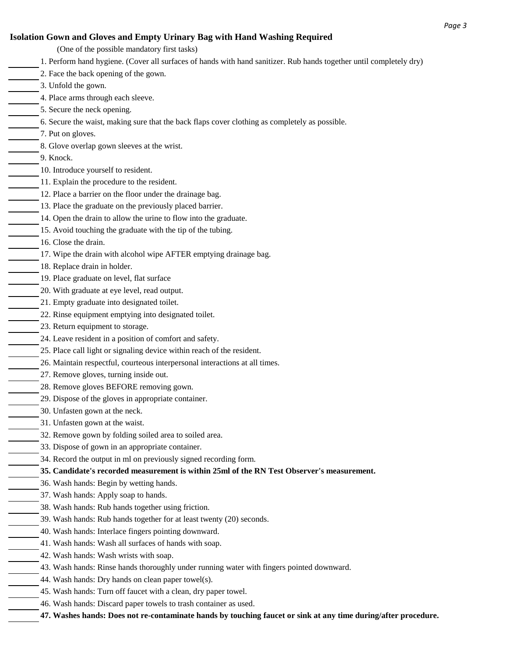## **Isolation Gown and Gloves and Empty Urinary Bag with Hand Washing Required**

- 1. Perform hand hygiene. (Cover all surfaces of hands with hand sanitizer. Rub hands together until completely dry) 2. Face the back opening of the gown. 3. Unfold the gown. 4. Place arms through each sleeve. 5. Secure the neck opening. 6. Secure the waist, making sure that the back flaps cover clothing as completely as possible. 7. Put on gloves. 8. Glove overlap gown sleeves at the wrist. 9. Knock. 10. Introduce yourself to resident. 11. Explain the procedure to the resident. 12. Place a barrier on the floor under the drainage bag. 13. Place the graduate on the previously placed barrier. 14. Open the drain to allow the urine to flow into the graduate. 15. Avoid touching the graduate with the tip of the tubing. 16. Close the drain. 17. Wipe the drain with alcohol wipe AFTER emptying drainage bag. 18. Replace drain in holder. 19. Place graduate on level, flat surface 20. With graduate at eye level, read output. 21. Empty graduate into designated toilet. 22. Rinse equipment emptying into designated toilet. 23. Return equipment to storage. 24. Leave resident in a position of comfort and safety. 25. Place call light or signaling device within reach of the resident. 26. Maintain respectful, courteous interpersonal interactions at all times. 27. Remove gloves, turning inside out. 28. Remove gloves BEFORE removing gown. 29. Dispose of the gloves in appropriate container. 30. Unfasten gown at the neck. 31. Unfasten gown at the waist. 32. Remove gown by folding soiled area to soiled area. 33. Dispose of gown in an appropriate container. 34. Record the output in ml on previously signed recording form. **35. Candidate's recorded measurement is within 25ml of the RN Test Observer's measurement.** 36. Wash hands: Begin by wetting hands. 37. Wash hands: Apply soap to hands. 38. Wash hands: Rub hands together using friction. 39. Wash hands: Rub hands together for at least twenty (20) seconds. 40. Wash hands: Interlace fingers pointing downward. 41. Wash hands: Wash all surfaces of hands with soap. 42. Wash hands: Wash wrists with soap. 43. Wash hands: Rinse hands thoroughly under running water with fingers pointed downward. 44. Wash hands: Dry hands on clean paper towel(s). (One of the possible mandatory first tasks)
	- 45. Wash hands: Turn off faucet with a clean, dry paper towel.
		- 46. Wash hands: Discard paper towels to trash container as used.
	- **47. Washes hands: Does not re-contaminate hands by touching faucet or sink at any time during/after procedure.**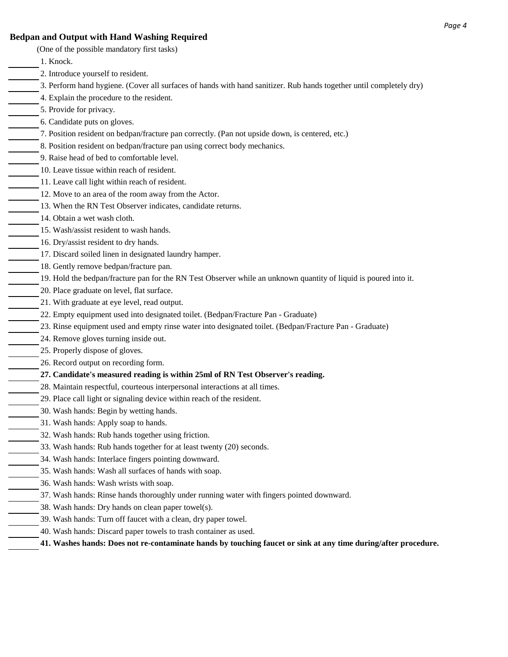- **Bedpan and Output with Hand Washing Required** 1. Knock. 2. Introduce yourself to resident. 3. Perform hand hygiene. (Cover all surfaces of hands with hand sanitizer. Rub hands together until completely dry) 4. Explain the procedure to the resident. 5. Provide for privacy. 6. Candidate puts on gloves. 7. Position resident on bedpan/fracture pan correctly. (Pan not upside down, is centered, etc.) 8. Position resident on bedpan/fracture pan using correct body mechanics. 9. Raise head of bed to comfortable level. 10. Leave tissue within reach of resident. 11. Leave call light within reach of resident. 12. Move to an area of the room away from the Actor. 13. When the RN Test Observer indicates, candidate returns. 14. Obtain a wet wash cloth. 15. Wash/assist resident to wash hands. 16. Dry/assist resident to dry hands. 17. Discard soiled linen in designated laundry hamper. 18. Gently remove bedpan/fracture pan. 20. Place graduate on level, flat surface. 21. With graduate at eye level, read output. 22. Empty equipment used into designated toilet. (Bedpan/Fracture Pan - Graduate) 23. Rinse equipment used and empty rinse water into designated toilet. (Bedpan/Fracture Pan - Graduate) 24. Remove gloves turning inside out. 25. Properly dispose of gloves. 26. Record output on recording form. **27. Candidate's measured reading is within 25ml of RN Test Observer's reading.** 28. Maintain respectful, courteous interpersonal interactions at all times. 29. Place call light or signaling device within reach of the resident. 30. Wash hands: Begin by wetting hands. 31. Wash hands: Apply soap to hands. 32. Wash hands: Rub hands together using friction. 33. Wash hands: Rub hands together for at least twenty (20) seconds. 34. Wash hands: Interlace fingers pointing downward. 19. Hold the bedpan/fracture pan for the RN Test Observer while an unknown quantity of liquid is poured into it. (One of the possible mandatory first tasks)
	- 35. Wash hands: Wash all surfaces of hands with soap.
	- 36. Wash hands: Wash wrists with soap.
	- 37. Wash hands: Rinse hands thoroughly under running water with fingers pointed downward.
	- 38. Wash hands: Dry hands on clean paper towel(s).
	- 39. Wash hands: Turn off faucet with a clean, dry paper towel.
		- 40. Wash hands: Discard paper towels to trash container as used.
			- **41. Washes hands: Does not re-contaminate hands by touching faucet or sink at any time during/after procedure.**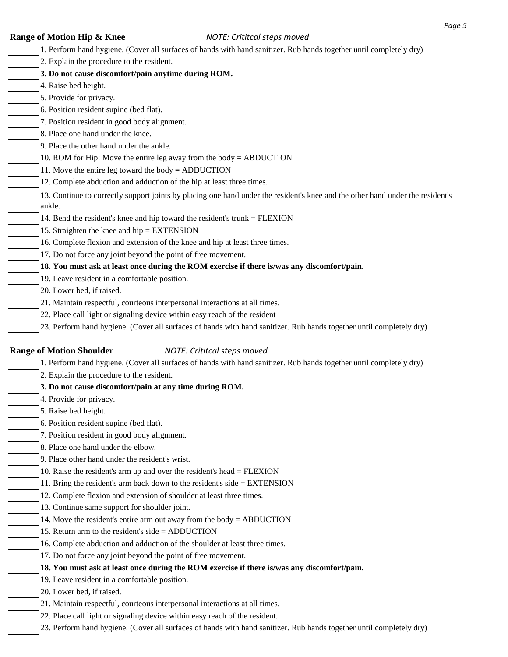- **Range of Motion Hip & Knee** *NOTE: Crititcal steps moved* 1. Perform hand hygiene. (Cover all surfaces of hands with hand sanitizer. Rub hands together until completely dry) 2. Explain the procedure to the resident. **3. Do not cause discomfort/pain anytime during ROM.** 4. Raise bed height. 5. Provide for privacy. 6. Position resident supine (bed flat). 7. Position resident in good body alignment. 8. Place one hand under the knee. 9. Place the other hand under the ankle. 10. ROM for Hip: Move the entire leg away from the body = ABDUCTION 11. Move the entire leg toward the body = ADDUCTION 12. Complete abduction and adduction of the hip at least three times. 14. Bend the resident's knee and hip toward the resident's trunk = FLEXION 15. Straighten the knee and hip = EXTENSION 16. Complete flexion and extension of the knee and hip at least three times. 17. Do not force any joint beyond the point of free movement. **18. You must ask at least once during the ROM exercise if there is/was any discomfort/pain.** 19. Leave resident in a comfortable position. 20. Lower bed, if raised. 21. Maintain respectful, courteous interpersonal interactions at all times. 22. Place call light or signaling device within easy reach of the resident 23. Perform hand hygiene. (Cover all surfaces of hands with hand sanitizer. Rub hands together until completely dry) **Range of Motion Shoulder** *NOTE: Crititcal steps moved* 1. Perform hand hygiene. (Cover all surfaces of hands with hand sanitizer. Rub hands together until completely dry) 2. Explain the procedure to the resident. **3. Do not cause discomfort/pain at any time during ROM.** 4. Provide for privacy. 5. Raise bed height. 6. Position resident supine (bed flat). 7. Position resident in good body alignment. 8. Place one hand under the elbow. 9. Place other hand under the resident's wrist. 10. Raise the resident's arm up and over the resident's head = FLEXION 11. Bring the resident's arm back down to the resident's side = EXTENSION 12. Complete flexion and extension of shoulder at least three times. 13. Continue same support for shoulder joint. 14. Move the resident's entire arm out away from the body = ABDUCTION 15. Return arm to the resident's side = ADDUCTION 13. Continue to correctly support joints by placing one hand under the resident's knee and the other hand under the resident's ankle.
	- 16. Complete abduction and adduction of the shoulder at least three times.
		- 17. Do not force any joint beyond the point of free movement.
	- **18. You must ask at least once during the ROM exercise if there is/was any discomfort/pain.**
		- 19. Leave resident in a comfortable position.
	- 20. Lower bed, if raised.
	- 21. Maintain respectful, courteous interpersonal interactions at all times.
	- 22. Place call light or signaling device within easy reach of the resident.
	- 23. Perform hand hygiene. (Cover all surfaces of hands with hand sanitizer. Rub hands together until completely dry)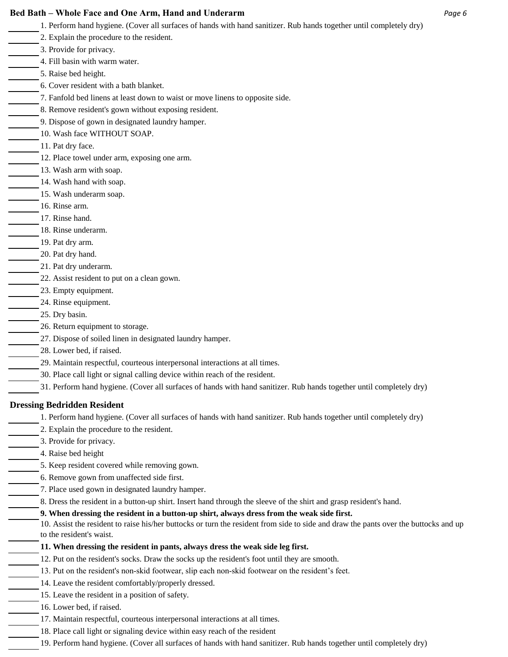### **Bed Bath – Whole Face and One Arm, Hand and Underarm** *Page 6*

- 1. Perform hand hygiene. (Cover all surfaces of hands with hand sanitizer. Rub hands together until completely dry)
- 2. Explain the procedure to the resident.
- 3. Provide for privacy.
- 4. Fill basin with warm water.
- 5. Raise bed height.
- 6. Cover resident with a bath blanket.
- 7. Fanfold bed linens at least down to waist or move linens to opposite side.
- 8. Remove resident's gown without exposing resident.
- 9. Dispose of gown in designated laundry hamper.
- 10. Wash face WITHOUT SOAP.
	- 11. Pat dry face.
	- 12. Place towel under arm, exposing one arm.
- 13. Wash arm with soap.
- 14. Wash hand with soap.
- 15. Wash underarm soap.
- 16. Rinse arm.
- 17. Rinse hand.
- 18. Rinse underarm.
	- 19. Pat dry arm.
- 20. Pat dry hand.
- 21. Pat dry underarm.
- 22. Assist resident to put on a clean gown.
- 23. Empty equipment.
	- 24. Rinse equipment.
- 25. Dry basin.
- 26. Return equipment to storage.
- 27. Dispose of soiled linen in designated laundry hamper.
	- 28. Lower bed, if raised.
- 29. Maintain respectful, courteous interpersonal interactions at all times.
- 30. Place call light or signal calling device within reach of the resident.
- 31. Perform hand hygiene. (Cover all surfaces of hands with hand sanitizer. Rub hands together until completely dry)

# **Dressing Bedridden Resident**

- 1. Perform hand hygiene. (Cover all surfaces of hands with hand sanitizer. Rub hands together until completely dry)
- 2. Explain the procedure to the resident.
- 3. Provide for privacy.
- 4. Raise bed height
- 5. Keep resident covered while removing gown.
- 6. Remove gown from unaffected side first.
	- 7. Place used gown in designated laundry hamper.
		- 8. Dress the resident in a button-up shirt. Insert hand through the sleeve of the shirt and grasp resident's hand.

# **9. When dressing the resident in a button-up shirt, always dress from the weak side first.**

10. Assist the resident to raise his/her buttocks or turn the resident from side to side and draw the pants over the buttocks and up to the resident's waist.

- **11. When dressing the resident in pants, always dress the weak side leg first.**
- 12. Put on the resident's socks. Draw the socks up the resident's foot until they are smooth.
- 13. Put on the resident's non-skid footwear, slip each non-skid footwear on the resident's feet.
- 14. Leave the resident comfortably/properly dressed.
- 15. Leave the resident in a position of safety.
	- 16. Lower bed, if raised.
	- 17. Maintain respectful, courteous interpersonal interactions at all times.
	- 18. Place call light or signaling device within easy reach of the resident
	- 19. Perform hand hygiene. (Cover all surfaces of hands with hand sanitizer. Rub hands together until completely dry)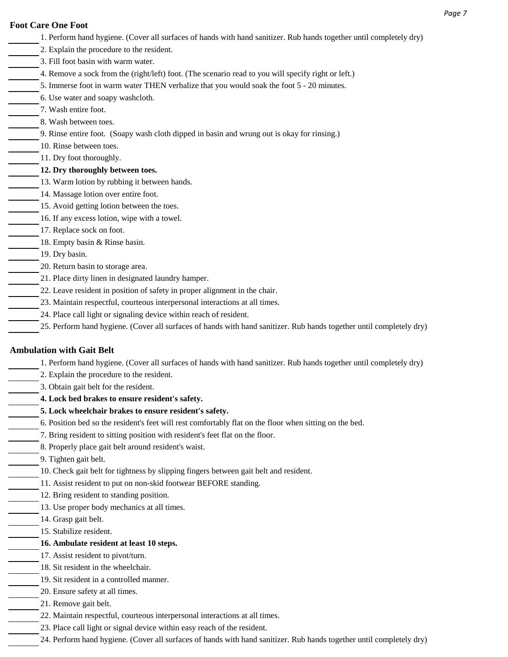### **Foot Care One Foot**

- 1. Perform hand hygiene. (Cover all surfaces of hands with hand sanitizer. Rub hands together until completely dry)
- 2. Explain the procedure to the resident.
- 3. Fill foot basin with warm water.
- 4. Remove a sock from the (right/left) foot. (The scenario read to you will specify right or left.)
- 5. Immerse foot in warm water THEN verbalize that you would soak the foot 5 20 minutes.
- 6. Use water and soapy washcloth.
- 7. Wash entire foot.
- 8. Wash between toes.
	- 9. Rinse entire foot. (Soapy wash cloth dipped in basin and wrung out is okay for rinsing.)
- 10. Rinse between toes.
- 11. Dry foot thoroughly.
- **12. Dry thoroughly between toes.**
- 13. Warm lotion by rubbing it between hands.
- 14. Massage lotion over entire foot.
- 15. Avoid getting lotion between the toes.
- 16. If any excess lotion, wipe with a towel.
- 17. Replace sock on foot.
	- 18. Empty basin & Rinse basin.
	- 19. Dry basin.
- 20. Return basin to storage area.
- 21. Place dirty linen in designated laundry hamper.
- 22. Leave resident in position of safety in proper alignment in the chair.
- 23. Maintain respectful, courteous interpersonal interactions at all times.
- 24. Place call light or signaling device within reach of resident.
- 25. Perform hand hygiene. (Cover all surfaces of hands with hand sanitizer. Rub hands together until completely dry)

## **Ambulation with Gait Belt**

- 1. Perform hand hygiene. (Cover all surfaces of hands with hand sanitizer. Rub hands together until completely dry)
- 2. Explain the procedure to the resident.
- 3. Obtain gait belt for the resident.
	- **4. Lock bed brakes to ensure resident's safety.**
	- **5. Lock wheelchair brakes to ensure resident's safety.**
- 6. Position bed so the resident's feet will rest comfortably flat on the floor when sitting on the bed.
- 7. Bring resident to sitting position with resident's feet flat on the floor.
- 8. Properly place gait belt around resident's waist.
	- 9. Tighten gait belt.
- 10. Check gait belt for tightness by slipping fingers between gait belt and resident.
	- 11. Assist resident to put on non-skid footwear BEFORE standing.
- 12. Bring resident to standing position.
- 13. Use proper body mechanics at all times.
- 14. Grasp gait belt.
	- 15. Stabilize resident.
	- **16. Ambulate resident at least 10 steps.**
	- 17. Assist resident to pivot/turn.
	- 18. Sit resident in the wheelchair.
	- 19. Sit resident in a controlled manner.
	- 20. Ensure safety at all times.
		- 21. Remove gait belt.
	- 22. Maintain respectful, courteous interpersonal interactions at all times.
	- 23. Place call light or signal device within easy reach of the resident.
	- 24. Perform hand hygiene. (Cover all surfaces of hands with hand sanitizer. Rub hands together until completely dry)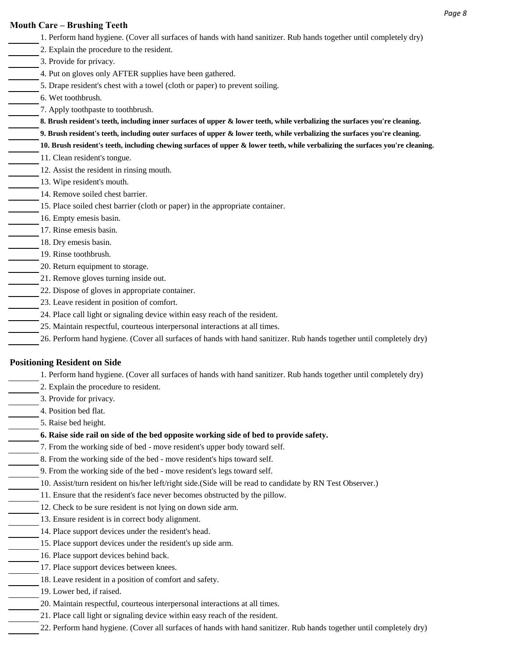- **Mouth Care Brushing Teeth** 1. Perform hand hygiene. (Cover all surfaces of hands with hand sanitizer. Rub hands together until completely dry) 2. Explain the procedure to the resident. 3. Provide for privacy. 4. Put on gloves only AFTER supplies have been gathered. 5. Drape resident's chest with a towel (cloth or paper) to prevent soiling. 6. Wet toothbrush. 7. Apply toothpaste to toothbrush. 11. Clean resident's tongue. 12. Assist the resident in rinsing mouth. 13. Wipe resident's mouth. 14. Remove soiled chest barrier. 15. Place soiled chest barrier (cloth or paper) in the appropriate container. 16. Empty emesis basin. 17. Rinse emesis basin. 18. Dry emesis basin. 19. Rinse toothbrush. 20. Return equipment to storage. 21. Remove gloves turning inside out. 22. Dispose of gloves in appropriate container. 23. Leave resident in position of comfort. 24. Place call light or signaling device within easy reach of the resident. 25. Maintain respectful, courteous interpersonal interactions at all times. 26. Perform hand hygiene. (Cover all surfaces of hands with hand sanitizer. Rub hands together until completely dry) **Positioning Resident on Side 8. Brush resident's teeth, including inner surfaces of upper & lower teeth, while verbalizing the surfaces you're cleaning. 9. Brush resident's teeth, including outer surfaces of upper & lower teeth, while verbalizing the surfaces you're cleaning. 10. Brush resident's teeth, including chewing surfaces of upper & lower teeth, while verbalizing the surfaces you're cleaning.**
	- 1. Perform hand hygiene. (Cover all surfaces of hands with hand sanitizer. Rub hands together until completely dry)
	- 2. Explain the procedure to resident.
	- 3. Provide for privacy.
	- 4. Position bed flat.
		- 5. Raise bed height.
		- **6. Raise side rail on side of the bed opposite working side of bed to provide safety.**
	- 7. From the working side of bed move resident's upper body toward self.
	- 8. From the working side of the bed move resident's hips toward self.
	- 9. From the working side of the bed move resident's legs toward self.
	- 10. Assist/turn resident on his/her left/right side.(Side will be read to candidate by RN Test Observer.)
	- 11. Ensure that the resident's face never becomes obstructed by the pillow.
	- 12. Check to be sure resident is not lying on down side arm.
	- 13. Ensure resident is in correct body alignment.
		- 14. Place support devices under the resident's head.
		- 15. Place support devices under the resident's up side arm.
			- 16. Place support devices behind back.
		- 17. Place support devices between knees.
		- 18. Leave resident in a position of comfort and safety.
		- 19. Lower bed, if raised.
		- 20. Maintain respectful, courteous interpersonal interactions at all times.
		- 21. Place call light or signaling device within easy reach of the resident.
		- 22. Perform hand hygiene. (Cover all surfaces of hands with hand sanitizer. Rub hands together until completely dry)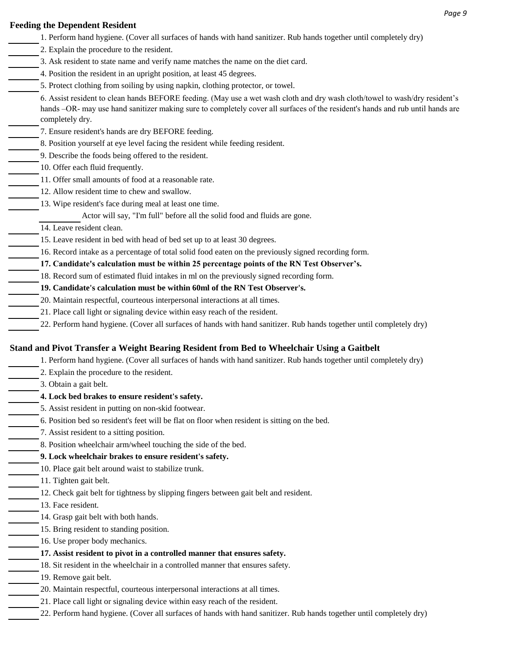### **Feeding the Dependent Resident**

- 1. Perform hand hygiene. (Cover all surfaces of hands with hand sanitizer. Rub hands together until completely dry) 2. Explain the procedure to the resident.
- 3. Ask resident to state name and verify name matches the name on the diet card.
- 4. Position the resident in an upright position, at least 45 degrees.
- 5. Protect clothing from soiling by using napkin, clothing protector, or towel.

6. Assist resident to clean hands BEFORE feeding. (May use a wet wash cloth and dry wash cloth/towel to wash/dry resident's hands –OR- may use hand sanitizer making sure to completely cover all surfaces of the resident's hands and rub until hands are completely dry.

- 7. Ensure resident's hands are dry BEFORE feeding.
- 8. Position yourself at eye level facing the resident while feeding resident.
- 9. Describe the foods being offered to the resident.
- 10. Offer each fluid frequently.
- 11. Offer small amounts of food at a reasonable rate.
- 12. Allow resident time to chew and swallow.
- 13. Wipe resident's face during meal at least one time.
	- Actor will say, "I'm full" before all the solid food and fluids are gone.
	- 14. Leave resident clean.
	- 15. Leave resident in bed with head of bed set up to at least 30 degrees.
- 16. Record intake as a percentage of total solid food eaten on the previously signed recording form.
- **17. Candidate's calculation must be within 25 percentage points of the RN Test Observer's.**
- 18. Record sum of estimated fluid intakes in ml on the previously signed recording form.
- **19. Candidate's calculation must be within 60ml of the RN Test Observer's.**
- 20. Maintain respectful, courteous interpersonal interactions at all times.
	- 21. Place call light or signaling device within easy reach of the resident.
- 22. Perform hand hygiene. (Cover all surfaces of hands with hand sanitizer. Rub hands together until completely dry)

## **Stand and Pivot Transfer a Weight Bearing Resident from Bed to Wheelchair Using a Gaitbelt**

- 1. Perform hand hygiene. (Cover all surfaces of hands with hand sanitizer. Rub hands together until completely dry)
- 2. Explain the procedure to the resident.
- 3. Obtain a gait belt.
- **4. Lock bed brakes to ensure resident's safety.**
- 5. Assist resident in putting on non-skid footwear.
	- 6. Position bed so resident's feet will be flat on floor when resident is sitting on the bed.
	- 7. Assist resident to a sitting position.
	- 8. Position wheelchair arm/wheel touching the side of the bed.

# **9. Lock wheelchair brakes to ensure resident's safety.**

- 10. Place gait belt around waist to stabilize trunk.
- 11. Tighten gait belt.
- 12. Check gait belt for tightness by slipping fingers between gait belt and resident.
- 13. Face resident.
	- 14. Grasp gait belt with both hands.
	- 15. Bring resident to standing position.
	- 16. Use proper body mechanics.

# **17. Assist resident to pivot in a controlled manner that ensures safety.**

- 18. Sit resident in the wheelchair in a controlled manner that ensures safety.
- 19. Remove gait belt.
- 20. Maintain respectful, courteous interpersonal interactions at all times.
	- 21. Place call light or signaling device within easy reach of the resident.
- 22. Perform hand hygiene. (Cover all surfaces of hands with hand sanitizer. Rub hands together until completely dry)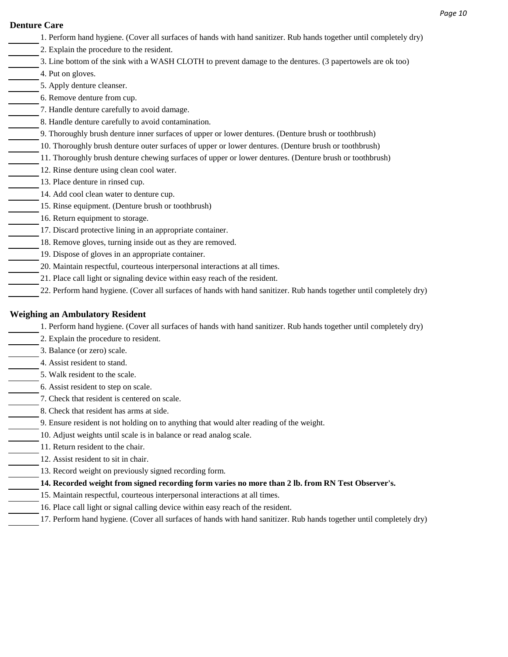### **Denture Care**

- 1. Perform hand hygiene. (Cover all surfaces of hands with hand sanitizer. Rub hands together until completely dry)
	- 2. Explain the procedure to the resident.
- 3. Line bottom of the sink with a WASH CLOTH to prevent damage to the dentures. (3 papertowels are ok too)
- 4. Put on gloves.
- 5. Apply denture cleanser.
- 6. Remove denture from cup.
- 7. Handle denture carefully to avoid damage.
- 8. Handle denture carefully to avoid contamination.
- 9. Thoroughly brush denture inner surfaces of upper or lower dentures. (Denture brush or toothbrush)
- 10. Thoroughly brush denture outer surfaces of upper or lower dentures. (Denture brush or toothbrush)
- 11. Thoroughly brush denture chewing surfaces of upper or lower dentures. (Denture brush or toothbrush)
- 12. Rinse denture using clean cool water.
- 13. Place denture in rinsed cup.
- 14. Add cool clean water to denture cup.
- 15. Rinse equipment. (Denture brush or toothbrush)
- 16. Return equipment to storage.
- 17. Discard protective lining in an appropriate container.
- 18. Remove gloves, turning inside out as they are removed.
- 19. Dispose of gloves in an appropriate container.
- 20. Maintain respectful, courteous interpersonal interactions at all times.
- 21. Place call light or signaling device within easy reach of the resident.
- 22. Perform hand hygiene. (Cover all surfaces of hands with hand sanitizer. Rub hands together until completely dry)

# **Weighing an Ambulatory Resident**

- 1. Perform hand hygiene. (Cover all surfaces of hands with hand sanitizer. Rub hands together until completely dry)
	- 2. Explain the procedure to resident.
- 3. Balance (or zero) scale.
- 4. Assist resident to stand.
- 5. Walk resident to the scale.
- 6. Assist resident to step on scale.
- 7. Check that resident is centered on scale.
- 8. Check that resident has arms at side.
- 9. Ensure resident is not holding on to anything that would alter reading of the weight.
	- 10. Adjust weights until scale is in balance or read analog scale.
		- 11. Return resident to the chair.
		- 12. Assist resident to sit in chair.
	- 13. Record weight on previously signed recording form.
	- **14. Recorded weight from signed recording form varies no more than 2 lb. from RN Test Observer's.**
	- 15. Maintain respectful, courteous interpersonal interactions at all times.
	- 16. Place call light or signal calling device within easy reach of the resident.
- 17. Perform hand hygiene. (Cover all surfaces of hands with hand sanitizer. Rub hands together until completely dry)